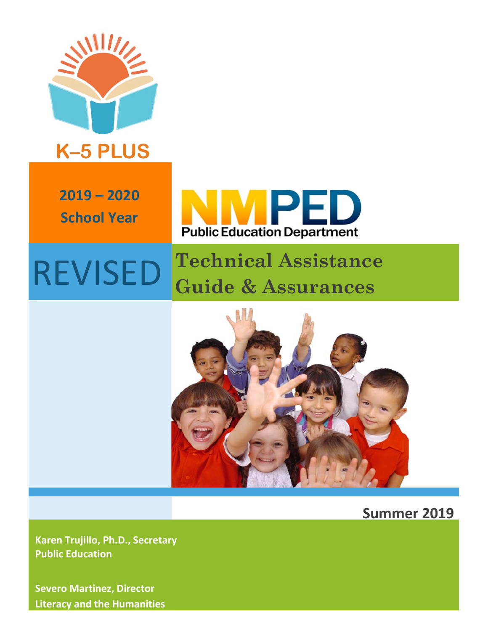

## **K-5 PLUS**

**2019 – 2020 School Year**



## REVISED **Technical Assistance Guide & Assurances**



**Summer 2019**

**Karen Trujillo, Ph.D., Secretary Public Education**

**Severo Martinez, Director Literacy and the Humanities**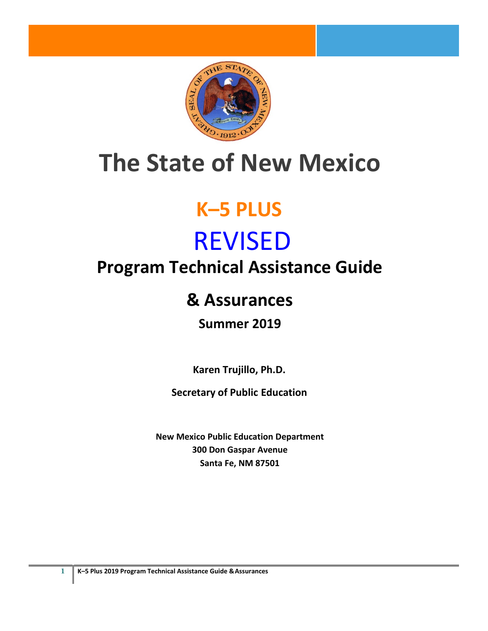

# **The State of New Mexico**

# **K–5 PLUS**

# REVISED

## **Program Technical Assistance Guide**

## **& Assurances**

## **Summer 2019**

**Karen Trujillo, Ph.D.** 

**Secretary of Public Education**

**New Mexico Public Education Department 300 Don Gaspar Avenue Santa Fe, NM 87501**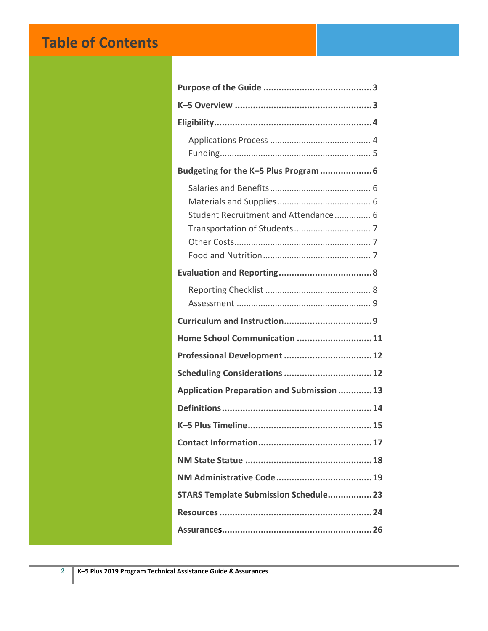## **Table of Contents**

| Budgeting for the K-5 Plus Program  6             |
|---------------------------------------------------|
| Student Recruitment and Attendance 6              |
|                                                   |
|                                                   |
|                                                   |
|                                                   |
| Home School Communication  11                     |
| Professional Development  12                      |
| Scheduling Considerations  12                     |
| <b>Application Preparation and Submission  13</b> |
|                                                   |
|                                                   |
|                                                   |
|                                                   |
|                                                   |
| <b>STARS Template Submission Schedule 23</b>      |
|                                                   |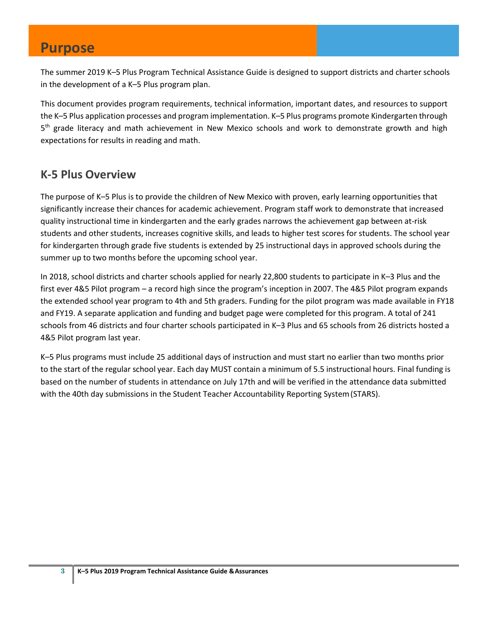#### **Purpose**

The summer 2019 K–5 Plus Program Technical Assistance Guide is designed to support districts and charter schools in the development of a K–5 Plus program plan.

This document provides program requirements, technical information, important dates, and resources to support the K–5 Plus application processes and program implementation. K–5 Plus programs promote Kindergarten through  $5<sup>th</sup>$  grade literacy and math achievement in New Mexico schools and work to demonstrate growth and high expectations for results in reading and math.

#### **K-5 Plus Overview**

The purpose of K–5 Plus is to provide the children of New Mexico with proven, early learning opportunities that significantly increase their chances for academic achievement. Program staff work to demonstrate that increased quality instructional time in kindergarten and the early grades narrows the achievement gap between at-risk students and other students, increases cognitive skills, and leads to higher test scores for students. The school year for kindergarten through grade five students is extended by 25 instructional days in approved schools during the summer up to two months before the upcoming school year.

In 2018, school districts and charter schools applied for nearly 22,800 students to participate in K–3 Plus and the first ever 4&5 Pilot program – a record high since the program's inception in 2007. The 4&5 Pilot program expands the extended school year program to 4th and 5th graders. Funding for the pilot program was made available in FY18 and FY19. A separate application and funding and budget page were completed for this program. A total of 241 schools from 46 districts and four charter schools participated in K–3 Plus and 65 schools from 26 districts hosted a 4&5 Pilot program last year.

K–5 Plus programs must include 25 additional days of instruction and must start no earlier than two months prior to the start of the regular school year. Each day MUST contain a minimum of 5.5 instructional hours. Final funding is based on the number of students in attendance on July 17th and will be verified in the attendance data submitted with the 40th day submissions in the Student Teacher Accountability Reporting System(STARS).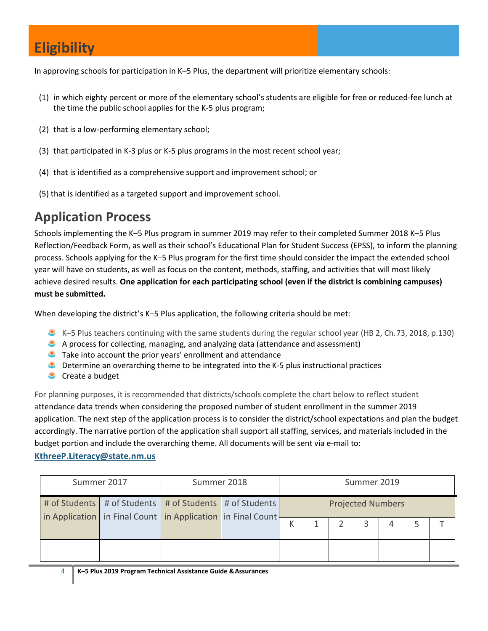In approving schools for participation in K–5 Plus, the department will prioritize elementary schools:

- (1) in which eighty percent or more of the elementary school's students are eligible for free or reduced-fee lunch at the time the public school applies for the K-5 plus program;
- (2) that is a low-performing elementary school;
- (3) that participated in K-3 plus or K-5 plus programs in the most recent school year;
- (4) that is identified as a comprehensive support and improvement school; or
- (5) that is identified as a targeted support and improvement school.

### **Application Process**

Schools implementing the K–5 Plus program in summer 2019 may refer to their completed Summer 2018 K–5 Plus Reflection/Feedback Form, as well as their school's Educational Plan for Student Success (EPSS), to inform the planning process. Schools applying for the K–5 Plus program for the first time should consider the impact the extended school year will have on students, as well as focus on the content, methods, staffing, and activities that will most likely achieve desired results. **One application for each participating school (even if the district is combining campuses) must be submitted.**

When developing the district's K–5 Plus application, the following criteria should be met:

- K–5 Plus teachers continuing with the same students during the regular school year (HB 2, Ch.73, 2018, p.130)
- A process for collecting, managing, and analyzing data (attendance and assessment)
- Take into account the prior years' enrollment and attendance
- **C** Determine an overarching theme to be integrated into the K-5 plus instructional practices
- **Create a budget**

For planning purposes, it is recommended that districts/schools complete the chart below to reflect student attendance data trends when considering the proposed number of student enrollment in the summer 2019 application. The next step of the application process is to consider the district/school expectations and plan the budget accordingly. The narrative portion of the application shall support all staffing, services, and materials included in the budget portion and include the overarching theme. All documents will be sent via e-mail to:

#### **[KthreeP.Literacy@state.nm.us](mailto:KthreeP.Literacy@state.nm.us)**

| Summer 2017 |  | Summer 2018                                                                                                                          |  | Summer 2019              |  |  |   |   |  |  |
|-------------|--|--------------------------------------------------------------------------------------------------------------------------------------|--|--------------------------|--|--|---|---|--|--|
|             |  | # of Students   # of Students   # of Students   # of Students  <br>in Application   in Final Count   in Application   in Final Count |  | <b>Projected Numbers</b> |  |  |   |   |  |  |
|             |  |                                                                                                                                      |  | К                        |  |  | 3 | 4 |  |  |
|             |  |                                                                                                                                      |  |                          |  |  |   |   |  |  |

**4 K–5 Plus 2019 Program Technical Assistance Guide &Assurances**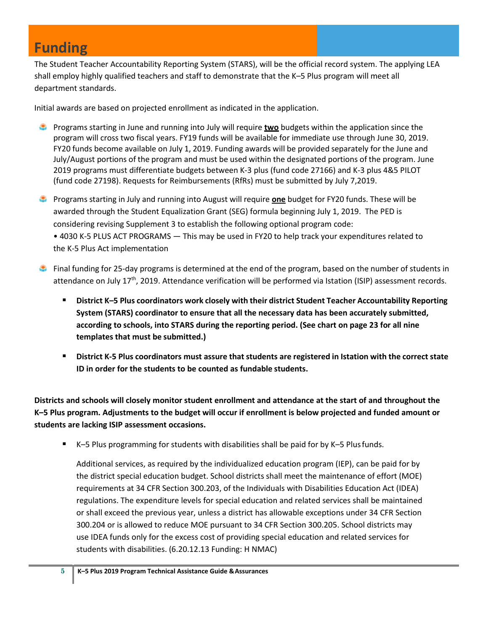### **Funding**

The Student Teacher Accountability Reporting System (STARS), will be the official record system. The applying LEA shall employ highly qualified teachers and staff to demonstrate that the K–5 Plus program will meet all department standards.

Initial awards are based on projected enrollment as indicated in the application.

- Programs starting in June and running into July will require **two** budgets within the application since the program will cross two fiscal years. FY19 funds will be available for immediate use through June 30, 2019. FY20 funds become available on July 1, 2019. Funding awards will be provided separately for the June and July/August portions of the program and must be used within the designated portions of the program. June 2019 programs must differentiate budgets between K-3 plus (fund code 27166) and K-3 plus 4&5 PILOT (fund code 27198). Requests for Reimbursements (RfRs) must be submitted by July 7,2019.
- Programs starting in July and running into August will require **one** budget for FY20 funds. These will be awarded through the Student Equalization Grant (SEG) formula beginning July 1, 2019. The PED is considering revising Supplement 3 to establish the following optional program code: • 4030 K-5 PLUS ACT PROGRAMS — This may be used in FY20 to help track your expenditures related to the K-5 Plus Act implementation
- **Final funding for 25-day programs is determined at the end of the program, based on the number of students in** attendance on July 17th, 2019. Attendance verification will be performed via Istation (ISIP) assessment records.
	- **District K–5 Plus coordinators work closely with their district Student Teacher Accountability Reporting System (STARS) coordinator to ensure that all the necessary data has been accurately submitted, according to schools, into STARS during the reporting period. (See chart on page 23 for all nine templates that must be submitted.)**
	- **District K-5 Plus coordinators must assure that students are registered in Istation with the correctstate ID in order for the students to be counted as fundable students.**

**Districts and schools will closely monitor student enrollment and attendance at the start of and throughout the K–5 Plus program. Adjustments to the budget will occur if enrollment is below projected and funded amount or students are lacking ISIP assessment occasions.**

K–5 Plus programming for students with disabilities shall be paid for by K–5 Plusfunds.

Additional services, as required by the individualized education program (IEP), can be paid for by the district special education budget. School districts shall meet the maintenance of effort (MOE) requirements at 34 CFR Section 300.203, of the Individuals with Disabilities Education Act (IDEA) regulations. The expenditure levels for special education and related services shall be maintained or shall exceed the previous year, unless a district has allowable exceptions under 34 CFR Section 300.204 or is allowed to reduce MOE pursuant to 34 CFR Section 300.205. School districts may use IDEA funds only for the excess cost of providing special education and related services for students with disabilities. (6.20.12.13 Funding: H NMAC)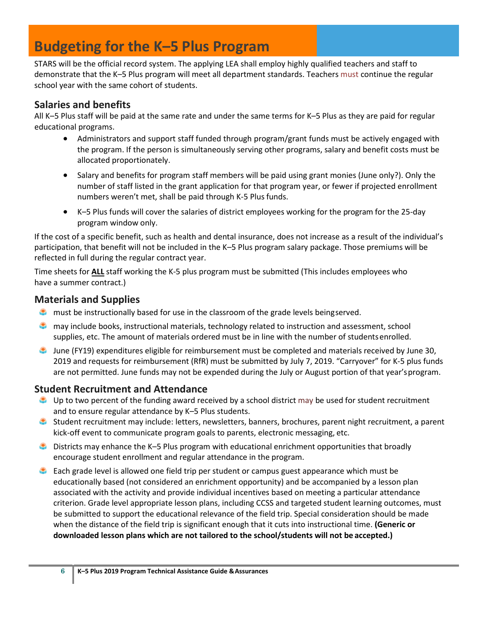### **Budgeting for the K–5 Plus Program**

STARS will be the official record system. The applying LEA shall employ highly qualified teachers and staff to demonstrate that the K–5 Plus program will meet all department standards. Teachers must continue the regular school year with the same cohort of students.

#### <span id="page-6-0"></span>**Salaries and benefits**

All K–5 Plus staff will be paid at the same rate and under the same terms for K–5 Plus as they are paid for regular educational programs.

- Administrators and support staff funded through program/grant funds must be actively engaged with the program. If the person is simultaneously serving other programs, salary and benefit costs must be allocated proportionately.
- Salary and benefits for program staff members will be paid using grant monies (June only?). Only the number of staff listed in the grant application for that program year, or fewer if projected enrollment numbers weren't met, shall be paid through K-5 Plus funds.
- K–5 Plus funds will cover the salaries of district employees working for the program for the 25-day program window only.

If the cost of a specific benefit, such as health and dental insurance, does not increase as a result of the individual's participation, that benefit will not be included in the K–5 Plus program salary package. Those premiums will be reflected in full during the regular contract year.

Time sheets for **ALL** staff working the K-5 plus program must be submitted (This includes employees who have a summer contract.)

#### <span id="page-6-1"></span>**Materials and Supplies**

- **C** must be instructionally based for use in the classroom of the grade levels beingserved.
- may include books, instructional materials, technology related to instruction and assessment, school supplies, etc. The amount of materials ordered must be in line with the number of studentsenrolled.
- June (FY19) expenditures eligible for reimbursement must be completed and materials received by June 30, 2019 and requests for reimbursement (RfR) must be submitted by July 7, 2019. "Carryover" for K-5 plus funds are not permitted. June funds may not be expended during the July or August portion of that year'sprogram.

#### <span id="page-6-2"></span>**Student Recruitment and Attendance**

- Up to two percent of the funding award received by a school district may be used for student recruitment and to ensure regular attendance by K–5 Plus students.
- Student recruitment may include: letters, newsletters, banners, brochures, parent night recruitment, a parent kick-off event to communicate program goals to parents, electronic messaging, etc.
- **C** Districts may enhance the K-5 Plus program with educational enrichment opportunities that broadly encourage student enrollment and regular attendance in the program.
- **Each grade level is allowed one field trip per student or campus guest appearance which must be** educationally based (not considered an enrichment opportunity) and be accompanied by a lesson plan associated with the activity and provide individual incentives based on meeting a particular attendance criterion. Grade level appropriate lesson plans, including CCSS and targeted student learning outcomes, must be submitted to support the educational relevance of the field trip. Special consideration should be made when the distance of the field trip is significant enough that it cuts into instructional time. **(Generic or downloaded lesson plans which are not tailored to the school/students will not be accepted.)**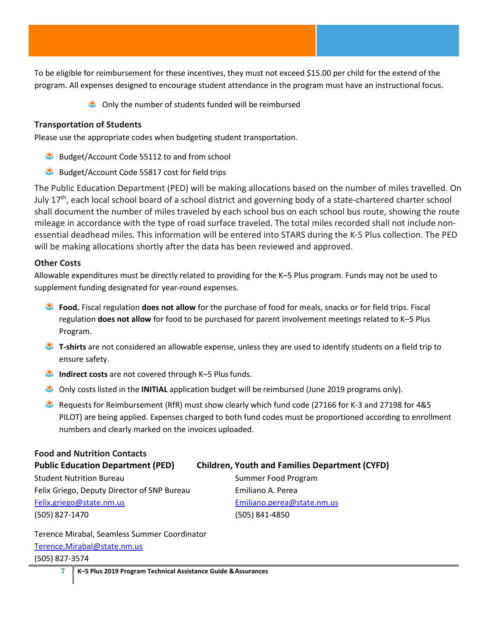To be eligible for reimbursement for these incentives, they must not exceed \$15.00 per child for the extend of the program. All expenses designed to encourage student attendance in the program must have an instructional focus.

**Conly the number of students funded will be reimbursed** 

#### <span id="page-7-0"></span>**Transportation of Students**

Please use the appropriate codes when budgeting student transportation.

- Budget/Account Code 55112 to and from school
- Budget/Account Code 55817 cost for field trips

<span id="page-7-1"></span>The Public Education Department (PED) will be making allocations based on the number of miles travelled. On July 17<sup>th</sup>, each local school board of a school district and governing body of a state-chartered charter school shall document the number of miles traveled by each school bus on each school bus route, showing the route mileage in accordance with the type of road surface traveled. The total miles recorded shall not include nonessential deadhead miles. This information will be entered into STARS during the K-5 Plus collection. The PED will be making allocations shortly after the data has been reviewed and approved.

#### **Other Costs**

Allowable expenditures must be directly related to providing for the K–5 Plus program. Funds may not be used to supplement funding designated for year-round expenses.

- **Food.** Fiscal regulation **does not allow** for the purchase of food for meals, snacks or for field trips. Fiscal regulation **does not allow** for food to be purchased for parent involvement meetings related to K–5 Plus Program.
- **T-shirts** are not considered an allowable expense, unless they are used to identify students on a field trip to ensure safety.
- **Indirect costs** are not covered through K–5 Plus funds.
- Only costs listed in the **INITIAL** application budget will be reimbursed (June 2019 programs only).
- Requests for Reimbursement (RfR) must show clearly which fund code (27166 for K-3 and 27198 for 4&5 PILOT) are being applied. Expenses charged to both fund codes must be proportioned according to enrollment numbers and clearly marked on the invoices uploaded.

<span id="page-7-2"></span>

| <b>Food and Nutrition Contacts</b>          |                                                       |
|---------------------------------------------|-------------------------------------------------------|
| <b>Public Education Department (PED)</b>    | <b>Children, Youth and Families Department (CYFD)</b> |
| <b>Student Nutrition Bureau</b>             | Summer Food Program                                   |
| Felix Griego, Deputy Director of SNP Bureau | Emiliano A. Perea                                     |
| Felix.griego@state.nm.us                    | Emiliano.perea@state.nm.us                            |
| (505) 827-1470                              | (505) 841-4850                                        |

Terence Mirabal, Seamless Summer Coordinator [Terence.Mirabal@state.nm.us](mailto:Terence.Mirabal@state.nm.us) (505) 827-3574

**7 K–5 Plus 2019 Program Technical Assistance Guide &Assurances**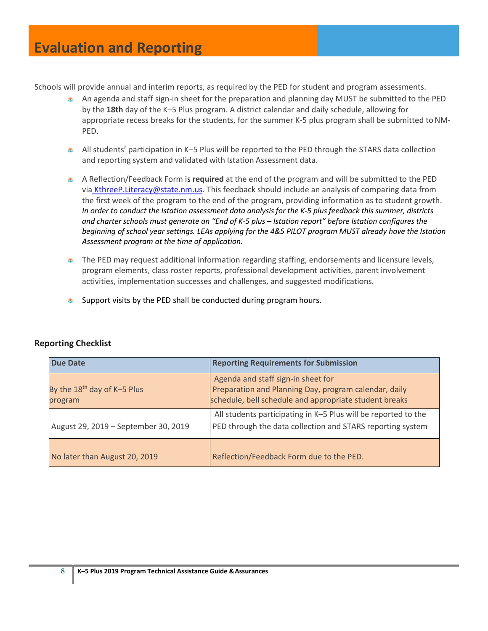Schools will provide annual and interim reports, as required by the PED for student and program assessments.

- An agenda and staff sign-in sheet for the preparation and planning day MUST be submitted to the PED by the **18th** day of the K–5 Plus program. A district calendar and daily schedule, allowing for appropriate recess breaks for the students, for the summer K-5 plus program shall be submitted to NM-PED.
- All students' participation in K–5 Plus will be reported to the PED through the STARS data collection and reporting system and validated with Istation Assessment data.
- A Reflection/Feedback Form is **required** at the end of the program and will be submitted to the PED via [KthreeP.Literacy@state.nm.us. T](mailto:KthreeP.Literacy@state.nm.us)his feedback should include an analysis of comparing data from the first week of the program to the end of the program, providing information as to student growth. *In order to conduct the Istation [assessment](mailto:Kathy.Ytuarte2@state.nm.us) data analysis for the K-5 plus feedback this summer, districts and charter schools must generate an "End of K-5 plus – Istation report" before Istation configures the beginning of school year settings. LEAs applying for the 4&5 PILOT program MUST already have the Istation Assessment program at the time of application.*
- $\bullet$  The PED may request additional information regarding staffing, endorsements and licensure levels, program elements, class roster reports, professional development activities, parent involvement activities, implementation successes and challenges, and suggested modifications.
- di. Support visits by the PED shall be conducted during program hours.

| <b>Due Date</b>                                    | <b>Reporting Requirements for Submission</b>                                                                                                          |
|----------------------------------------------------|-------------------------------------------------------------------------------------------------------------------------------------------------------|
| By the 18 <sup>th</sup> day of K-5 Plus<br>program | Agenda and staff sign-in sheet for<br>Preparation and Planning Day, program calendar, daily<br>schedule, bell schedule and appropriate student breaks |
| August 29, 2019 - September 30, 2019               | All students participating in K-5 Plus will be reported to the<br>PED through the data collection and STARS reporting system                          |
| No later than August 20, 2019                      | Reflection/Feedback Form due to the PED.                                                                                                              |

#### <span id="page-8-0"></span>**Reporting Checklist**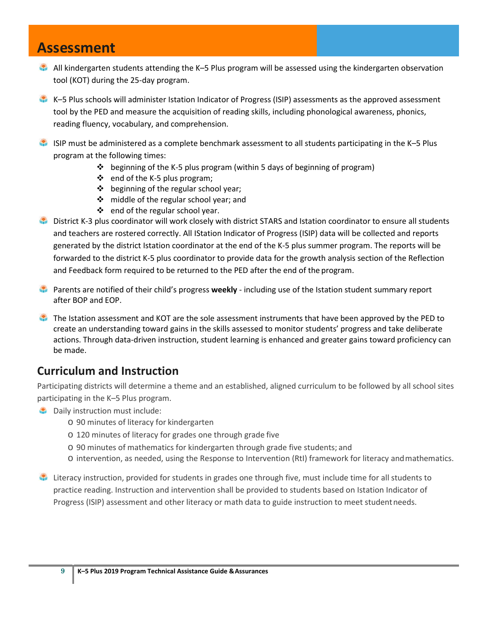### **Assessment**

- All kindergarten students attending the K–5 Plus program will be assessed using the kindergarten observation tool (KOT) during the 25-day program.
- K–5 Plus schools will administer Istation Indicator of Progress (ISIP) assessments as the approved assessment tool by the PED and measure the acquisition of reading skills, including phonological awareness, phonics, reading fluency, vocabulary, and comprehension.
- ISIP must be administered as a complete benchmark assessment to all students participating in the K–5 Plus program at the following times:
	- $\div$  beginning of the K-5 plus program (within 5 days of beginning of program)
	- $\cdot$  end of the K-5 plus program;
	- $\triangleq$  beginning of the regular school year;
	- ❖ middle of the regular school year; and
	- ❖ end of the regular school year.
- District K-3 plus coordinator will work closely with district STARS and Istation coordinator to ensure all students and teachers are rostered correctly. All IStation Indicator of Progress (ISIP) data will be collected and reports generated by the district Istation coordinator at the end of the K-5 plus summer program. The reports will be forwarded to the district K-5 plus coordinator to provide data for the growth analysis section of the Reflection and Feedback form required to be returned to the PED after the end of the program.
- Parents are notified of their child's progress **weekly**  including use of the Istation student summary report after BOP and EOP.
- The Istation assessment and KOT are the sole assessment instruments that have been approved by the PED to create an understanding toward gains in the skills assessed to monitor students' progress and take deliberate actions. Through data-driven instruction, student learning is enhanced and greater gains toward proficiency can be made.

#### <span id="page-9-0"></span>**Curriculum and Instruction**

Participating districts will determine a theme and an established, aligned curriculum to be followed by all school sites participating in the K–5 Plus program.

- **Daily instruction must include:** 
	- o 90 minutes of literacy for kindergarten
	- o 120 minutes of literacy for grades one through grade five
	- o 90 minutes of mathematics for kindergarten through grade five students; and
	- o intervention, as needed, using the Response to Intervention (RtI) framework for literacy andmathematics.
- Literacy instruction, provided for students in grades one through five, must include time for all students to practice reading. Instruction and intervention shall be provided to students based on Istation Indicator of Progress (ISIP) assessment and other literacy or math data to guide instruction to meet studentneeds.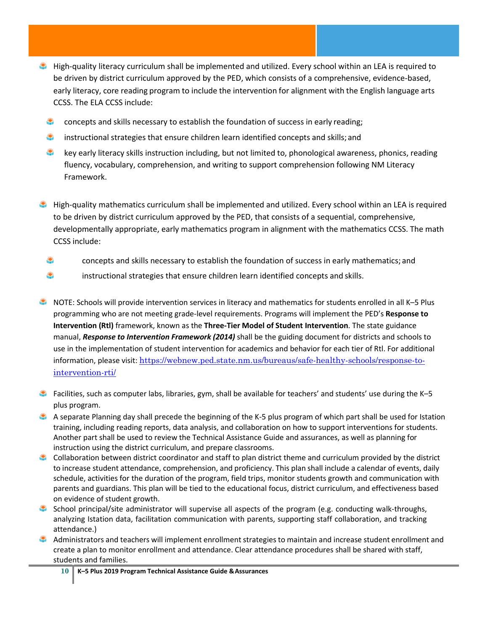- **High-quality literacy curriculum shall be implemented and utilized. Every school within an LEA is required to** be driven by district curriculum approved by the PED, which consists of a comprehensive, evidence-based, early literacy, core reading program to include the intervention for alignment with the English language arts CCSS. The ELA CCSS include:
	- æ. concepts and skills necessary to establish the foundation of success in early reading;
	- **the instructional strategies that ensure children learn identified concepts and skills; and**
	- $\bullet$ key early literacy skills instruction including, but not limited to, phonological awareness, phonics, reading fluency, vocabulary, comprehension, and writing to support comprehension following NM Literacy Framework.
- **High-quality mathematics curriculum shall be implemented and utilized. Every school within an LEA is required** to be driven by district curriculum approved by the PED, that consists of a sequential, comprehensive, developmentally appropriate, early mathematics program in alignment with the mathematics CCSS. The math CCSS include:
	- \$ concepts and skills necessary to establish the foundation of success in early mathematics; and
	- ۰ instructional strategies that ensure children learn identified concepts and skills.
- NOTE: Schools will provide intervention services in literacy and mathematics for students enrolled in all K–5 Plus programming who are not meeting grade-level requirements. Programs will implement the PED's **Response to Intervention (Rtl)** framework, known as the **Three-Tier Model of Student Intervention**. The state guidance manual, *Response to Intervention Framework (2014)* shall be the guiding document for districts and schools to use in the implementation of student intervention for academics and behavior for each tier of Rtl. For additional information, please visit: [https://webnew.ped.state.nm.us/bureaus/safe-healthy-schools/response-to](https://webnew.ped.state.nm.us/bureaus/safe-healthy-schools/response-to-intervention-rti/)[intervention-rti/](https://webnew.ped.state.nm.us/bureaus/safe-healthy-schools/response-to-intervention-rti/)
- **Facilities, such as computer labs, libraries, gym, shall be available for teachers' and students' use during the K–5** plus program.
- A separate Planning day shall precede the beginning of the K-5 plus program of which part shall be used for Istation training, including reading reports, data analysis, and collaboration on how to support interventions for students. Another part shall be used to review the Technical Assistance Guide and assurances, as well as planning for instruction using the district curriculum, and prepare classrooms.
- Collaboration between district coordinator and staff to plan district theme and curriculum provided by the district to increase student attendance, comprehension, and proficiency. This plan shall include a calendar of events, daily schedule, activities for the duration of the program, field trips, monitor students growth and communication with parents and guardians. This plan will be tied to the educational focus, district curriculum, and effectiveness based on evidence of student growth.
- School principal/site administrator will supervise all aspects of the program (e.g. conducting walk-throughs, analyzing Istation data, facilitation communication with parents, supporting staff collaboration, and tracking attendance.)
- Administrators and teachers will implement enrollment strategies to maintain and increase student enrollment and create a plan to monitor enrollment and attendance. Clear attendance procedures shall be shared with staff, students and families.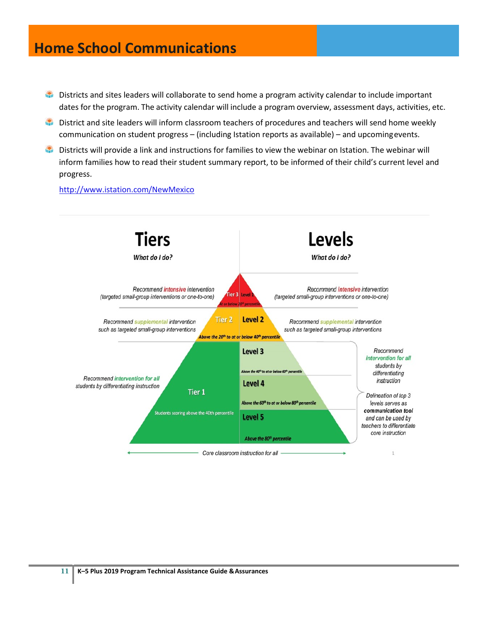### **Home School Communications**

- **Districts and sites leaders will collaborate to send home a program activity calendar to include important** dates for the program. The activity calendar will include a program overview, assessment days, activities, etc.
- **District and site leaders will inform classroom teachers of procedures and teachers will send home weekly** communication on student progress – (including Istation reports as available) – and upcomingevents.
- Districts will provide a link and instructions for families to view the webinar on Istation. The webinar will inform families how to read their student summary report, to be informed of their child's current level and progress.

<http://www.istation.com/NewMexico>

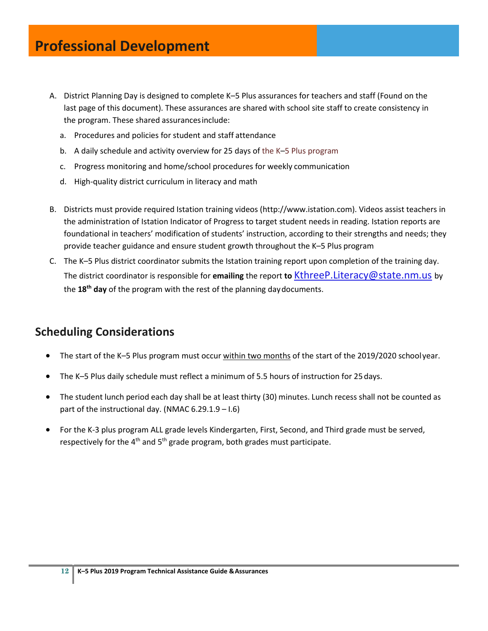- A. District Planning Day is designed to complete K–5 Plus assurances for teachers and staff (Found on the last page of this document). These assurances are shared with school site staff to create consistency in the program. These shared assurancesinclude:
	- a. Procedures and policies for student and staff attendance
	- b. A daily schedule and activity overview for 25 days of the K–5 Plus program
	- c. Progress monitoring and home/school procedures for weekly communication
	- d. High-quality district curriculum in literacy and math
- B. Districts must provide required Istation training videos [\(http://www.istation.com\)](http://www.istation.com/). Videos assist teachers in the administration of Istation Indicator of Progress to target student needs in reading. Istation reports are foundational in teachers' modification of students' instruction, according to their strengths and needs; they provide teacher guidance and ensure student growth throughout the K–5 Plus program
- C. The K–5 Plus district coordinator submits the Istation training report upon completion of the training day. The district coordinator is responsible for **emailing** the report **to** [KthreeP.Literacy@state.nm.us](mailto:KthreeP.Literacy@state.nm.us) by the **18th day** of the program with the rest of the planning daydocuments.

#### <span id="page-12-0"></span>**Scheduling Considerations**

- The start of the K-5 Plus program must occur within two months of the start of the 2019/2020 schoolyear.
- The K–5 Plus daily schedule must reflect a minimum of 5.5 hours of instruction for 25days.
- The student lunch period each day shall be at least thirty (30) minutes. Lunch recess shall not be counted as part of the instructional day. (NMAC  $6.29.1.9 - 1.6$ )
- For the K-3 plus program ALL grade levels Kindergarten, First, Second, and Third grade must be served, respectively for the  $4<sup>th</sup>$  and  $5<sup>th</sup>$  grade program, both grades must participate.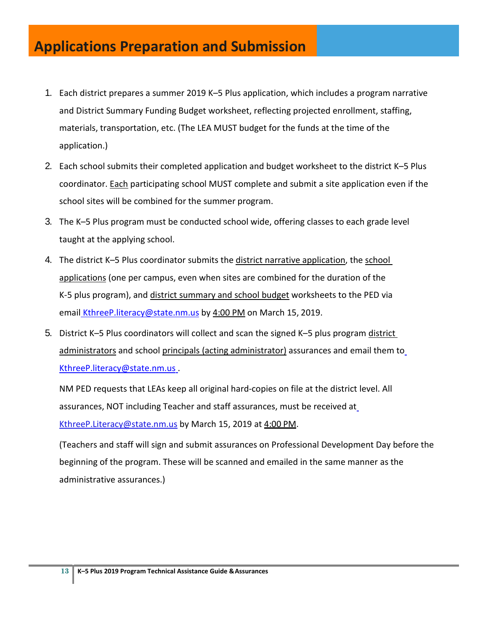## **Applications Preparation and Submission**

- 1. Each district prepares a summer 2019 K–5 Plus application, which includes a program narrative and District Summary Funding Budget worksheet, reflecting projected enrollment, staffing, materials, transportation, etc. (The LEA MUST budget for the funds at the time of the application.)
- 2. Each school submits their completed application and budget worksheet to the district K–5 Plus coordinator. Each participating school MUST complete and submit a site application even if the school sites will be combined for the summer program.
- 3. The K–5 Plus program must be conducted school wide, offering classes to each grade level taught at the applying school.
- 4. The district K–5 Plus coordinator submits the district narrative application, the school applications (one per campus, even when sites are combined for the duration of the K-5 plus program), and district summary and school budget worksheets to the PED via email [KthreeP.literacy@state.nm.us](mailto:KthreeP.literacy@state.nm.us) by 4:00 PM on March 15, 2019.
- 5. District K–5 Plus coordinators will collect and scan the signed K–5 plus program district administrators and school principals (acting administrator) assurances and email them to [KthreeP.literacy@state.nm.us](mailto:KthreeP.literacy@state.nm.us) .

NM PED requests that LEAs keep all original hard-copies on file at the district level. All assurances, NOT including Teacher and staff assurances, must be received a[t](mailto:KthreeP.Literacy@state.nm.us) [KthreeP.Literacy@state.nm.us](mailto:KthreeP.Literacy@state.nm.us) by March 15, 2019 at 4:00 PM.

(Teachers and staff will sign and submit assurances on Professional Development Day before the beginning of the program. These will be scanned and emailed in the same manner as the administrative assurances.)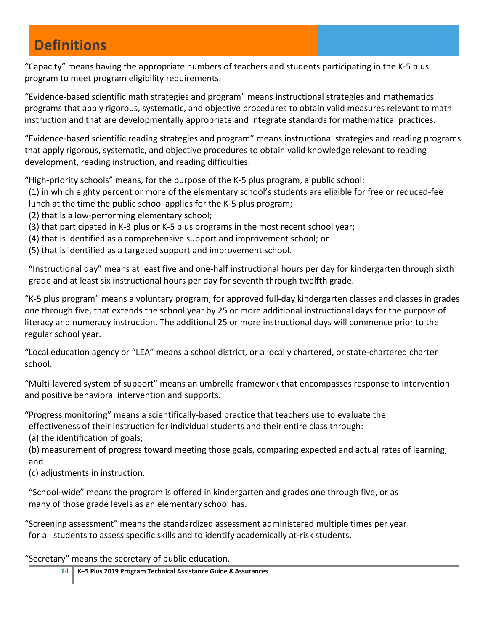## **Definitions**

"Capacity" means having the appropriate numbers of teachers and students participating in the K-5 plus program to meet program eligibility requirements.

"Evidence-based scientific math strategies and program" means instructional strategies and mathematics programs that apply rigorous, systematic, and objective procedures to obtain valid measures relevant to math instruction and that are developmentally appropriate and integrate standards for mathematical practices.

"Evidence-based scientific reading strategies and program" means instructional strategies and reading programs that apply rigorous, systematic, and objective procedures to obtain valid knowledge relevant to reading development, reading instruction, and reading difficulties.

"High-priority schools" means, for the purpose of the K-5 plus program, a public school:

(1) in which eighty percent or more of the elementary school's students are eligible for free or reduced-fee lunch at the time the public school applies for the K-5 plus program;

(2) that is a low-performing elementary school;

- (3) that participated in K-3 plus or K-5 plus programs in the most recent school year;
- (4) that is identified as a comprehensive support and improvement school; or
- (5) that is identified as a targeted support and improvement school.

"Instructional day" means at least five and one-half instructional hours per day for kindergarten through sixth grade and at least six instructional hours per day for seventh through twelfth grade.

"K-5 plus program" means a voluntary program, for approved full-day kindergarten classes and classes in grades one through five, that extends the school year by 25 or more additional instructional days for the purpose of literacy and numeracy instruction. The additional 25 or more instructional days will commence prior to the regular school year.

"Local education agency or "LEA" means a school district, or a locally chartered, or state-chartered charter school.

"Multi-layered system of support" means an umbrella framework that encompasses response to intervention and positive behavioral intervention and supports.

"Progress monitoring" means a scientifically-based practice that teachers use to evaluate the effectiveness of their instruction for individual students and their entire class through:

(a) the identification of goals;

(b) measurement of progress toward meeting those goals, comparing expected and actual rates of learning; and

(c) adjustments in instruction.

"School-wide" means the program is offered in kindergarten and grades one through five, or as many of those grade levels as an elementary school has.

"Screening assessment" means the standardized assessment administered multiple times per year for all students to assess specific skills and to identify academically at-risk students.

"Secretary" means the secretary of public education.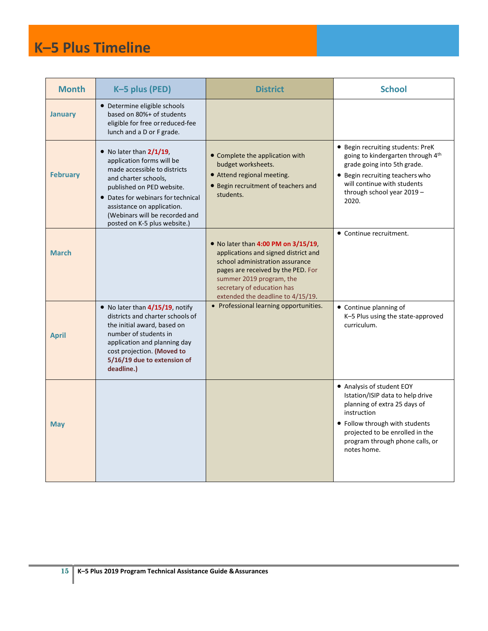## **K–5 Plus Timeline**

| <b>Month</b>    | K-5 plus (PED)                                                                                                                                                                                                                                                                             | <b>District</b>                                                                                                                                                                                                                                             | <b>School</b>                                                                                                                                                                                                                       |
|-----------------|--------------------------------------------------------------------------------------------------------------------------------------------------------------------------------------------------------------------------------------------------------------------------------------------|-------------------------------------------------------------------------------------------------------------------------------------------------------------------------------------------------------------------------------------------------------------|-------------------------------------------------------------------------------------------------------------------------------------------------------------------------------------------------------------------------------------|
| <b>January</b>  | • Determine eligible schools<br>based on 80%+ of students<br>eligible for free or reduced-fee<br>lunch and a D or F grade.                                                                                                                                                                 |                                                                                                                                                                                                                                                             |                                                                                                                                                                                                                                     |
| <b>February</b> | $\bullet$ No later than $2/1/19$ ,<br>application forms will be<br>made accessible to districts<br>and charter schools.<br>published on PED website.<br>• Dates for webinars for technical<br>assistance on application.<br>(Webinars will be recorded and<br>posted on K-5 plus website.) | • Complete the application with<br>budget worksheets.<br>• Attend regional meeting.<br>• Begin recruitment of teachers and<br>students.                                                                                                                     | • Begin recruiting students: PreK<br>going to kindergarten through 4th<br>grade going into 5th grade.<br>• Begin recruiting teachers who<br>will continue with students<br>through school year 2019 -<br>2020.                      |
| <b>March</b>    |                                                                                                                                                                                                                                                                                            | $\bullet$ No later than 4:00 PM on 3/15/19,<br>applications and signed district and<br>school administration assurance<br>pages are received by the PED. For<br>summer 2019 program, the<br>secretary of education has<br>extended the deadline to 4/15/19. | • Continue recruitment.                                                                                                                                                                                                             |
| <b>April</b>    | $\bullet$ No later than $4/15/19$ , notify<br>districts and charter schools of<br>the initial award, based on<br>number of students in<br>application and planning day<br>cost projection. (Moved to<br>5/16/19 due to extension of<br>deadline.)                                          | • Professional learning opportunities.                                                                                                                                                                                                                      | • Continue planning of<br>K-5 Plus using the state-approved<br>curriculum.                                                                                                                                                          |
| <b>May</b>      |                                                                                                                                                                                                                                                                                            |                                                                                                                                                                                                                                                             | • Analysis of student EOY<br>Istation/ISIP data to help drive<br>planning of extra 25 days of<br>instruction<br>• Follow through with students<br>projected to be enrolled in the<br>program through phone calls, or<br>notes home. |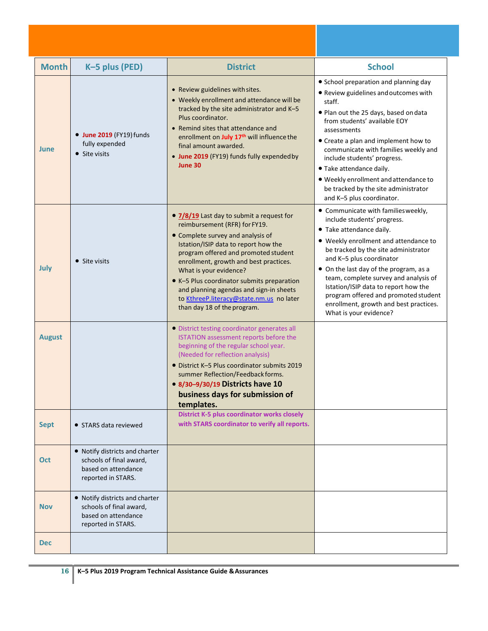| <b>Month</b>  | K-5 plus (PED)                                                                                         | <b>District</b>                                                                                                                                                                                                                                                                                                                                                                                                                         | <b>School</b>                                                                                                                                                                                                                                                                                                                                                                                                                                      |
|---------------|--------------------------------------------------------------------------------------------------------|-----------------------------------------------------------------------------------------------------------------------------------------------------------------------------------------------------------------------------------------------------------------------------------------------------------------------------------------------------------------------------------------------------------------------------------------|----------------------------------------------------------------------------------------------------------------------------------------------------------------------------------------------------------------------------------------------------------------------------------------------------------------------------------------------------------------------------------------------------------------------------------------------------|
| June          | <b>• June 2019</b> (FY19) funds<br>fully expended<br>• Site visits                                     | • Review guidelines with sites.<br>• Weekly enrollment and attendance will be<br>tracked by the site administrator and K-5<br>Plus coordinator.<br>• Remind sites that attendance and<br>enrollment on July 17 <sup>th</sup> will influence the<br>final amount awarded.<br>• June 2019 (FY19) funds fully expended by<br>June 30                                                                                                       | • School preparation and planning day<br>• Review guidelines and outcomes with<br>staff.<br>• Plan out the 25 days, based on data<br>from students' available EOY<br>assessments<br>• Create a plan and implement how to<br>communicate with families weekly and<br>include students' progress.<br>· Take attendance daily.<br>. Weekly enrollment and attendance to<br>be tracked by the site administrator<br>and K-5 plus coordinator.          |
| July          | • Site visits                                                                                          | • 7/8/19 Last day to submit a request for<br>reimbursement (RFR) for FY19.<br>• Complete survey and analysis of<br>Istation/ISIP data to report how the<br>program offered and promoted student<br>enrollment, growth and best practices.<br>What is your evidence?<br>• K-5 Plus coordinator submits preparation<br>and planning agendas and sign-in sheets<br>to KthreeP.literacy@state.nm.us no later<br>than day 18 of the program. | • Communicate with families weekly,<br>include students' progress.<br>• Take attendance daily.<br>• Weekly enrollment and attendance to<br>be tracked by the site administrator<br>and K-5 plus coordinator<br>• On the last day of the program, as a<br>team, complete survey and analysis of<br>Istation/ISIP data to report how the<br>program offered and promoted student<br>enrollment, growth and best practices.<br>What is your evidence? |
| <b>August</b> |                                                                                                        | • District testing coordinator generates all<br>ISTATION assessment reports before the<br>beginning of the regular school year.<br>(Needed for reflection analysis)<br>• District K-5 Plus coordinator submits 2019<br>summer Reflection/Feedback forms.<br>• 8/30-9/30/19 Districts have 10<br>business days for submission of<br>templates.                                                                                           |                                                                                                                                                                                                                                                                                                                                                                                                                                                    |
| <b>Sept</b>   | • STARS data reviewed                                                                                  | <b>District K-5 plus coordinator works closely</b><br>with STARS coordinator to verify all reports.                                                                                                                                                                                                                                                                                                                                     |                                                                                                                                                                                                                                                                                                                                                                                                                                                    |
| Oct           | • Notify districts and charter<br>schools of final award,<br>based on attendance<br>reported in STARS. |                                                                                                                                                                                                                                                                                                                                                                                                                                         |                                                                                                                                                                                                                                                                                                                                                                                                                                                    |
| <b>Nov</b>    | • Notify districts and charter<br>schools of final award,<br>based on attendance<br>reported in STARS. |                                                                                                                                                                                                                                                                                                                                                                                                                                         |                                                                                                                                                                                                                                                                                                                                                                                                                                                    |
| <b>Dec</b>    |                                                                                                        |                                                                                                                                                                                                                                                                                                                                                                                                                                         |                                                                                                                                                                                                                                                                                                                                                                                                                                                    |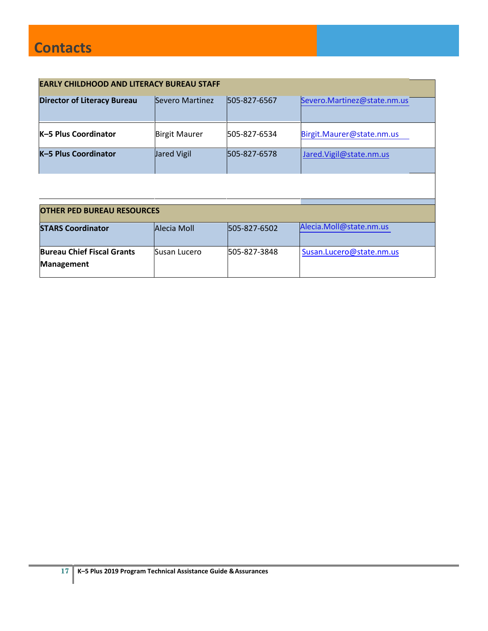| <b>EARLY CHILDHOOD AND LITERACY BUREAU STAFF</b> |                      |              |                             |  |
|--------------------------------------------------|----------------------|--------------|-----------------------------|--|
| <b>Director of Literacy Bureau</b>               | Severo Martinez      | 505-827-6567 | Severo.Martinez@state.nm.us |  |
| <b>K-5 Plus Coordinator</b>                      | <b>Birgit Maurer</b> | 505-827-6534 | Birgit.Maurer@state.nm.us   |  |
| K-5 Plus Coordinator                             | Jared Vigil          | 505-827-6578 | Jared.Vigil@state.nm.us     |  |
|                                                  |                      |              |                             |  |

| <b>OTHER PED BUREAU RESOURCES</b>                                                  |              |              |                          |  |  |
|------------------------------------------------------------------------------------|--------------|--------------|--------------------------|--|--|
| Alecia.Moll@state.nm.us<br><b>STARS Coordinator</b><br>Alecia Moll<br>505-827-6502 |              |              |                          |  |  |
| <b>Bureau Chief Fiscal Grants</b><br>Management                                    | Susan Lucero | 505-827-3848 | Susan.Lucero@state.nm.us |  |  |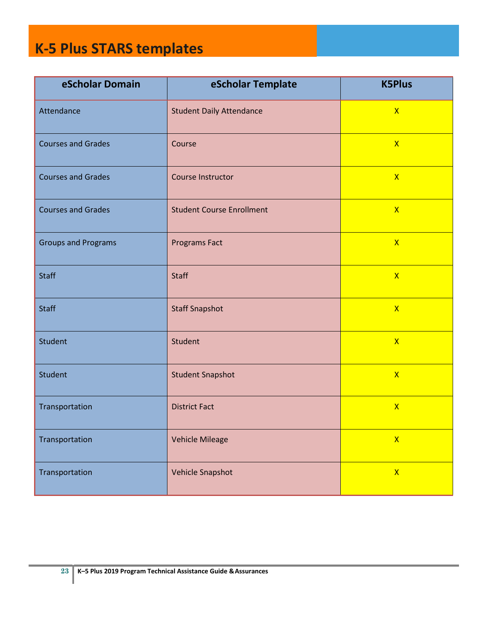## **K-5 Plus STARS templates**

| eScholar Domain            | eScholar Template                | <b>K5Plus</b>           |
|----------------------------|----------------------------------|-------------------------|
| Attendance                 | <b>Student Daily Attendance</b>  | $\mathsf{X}$            |
| <b>Courses and Grades</b>  | Course                           | $\mathsf{X}$            |
| <b>Courses and Grades</b>  | Course Instructor                | $\mathsf{X}$            |
| <b>Courses and Grades</b>  | <b>Student Course Enrollment</b> | $\mathsf{X}$            |
| <b>Groups and Programs</b> | <b>Programs Fact</b>             | $\mathsf{X}$            |
| <b>Staff</b>               | <b>Staff</b>                     | $\mathsf{X}$            |
| <b>Staff</b>               | <b>Staff Snapshot</b>            | $\overline{\mathsf{X}}$ |
| Student                    | Student                          | $\mathsf{X}$            |
| Student                    | <b>Student Snapshot</b>          | $\mathsf{X}$            |
| Transportation             | <b>District Fact</b>             | $\mathsf{X}$            |
| Transportation             | <b>Vehicle Mileage</b>           | $\mathsf{X}$            |
| Transportation             | <b>Vehicle Snapshot</b>          | $\mathsf{X}$            |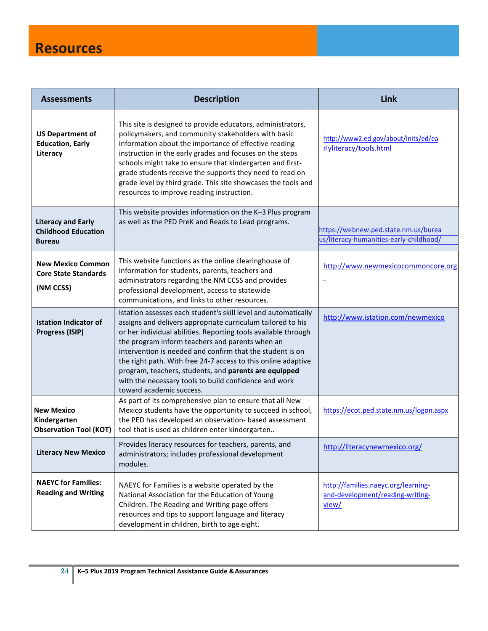## **Resources**

| <b>Assessments</b>                                                       | <b>Description</b>                                                                                                                                                                                                                                                                                                                                                                                                                                                                                                             | Link                                                                             |
|--------------------------------------------------------------------------|--------------------------------------------------------------------------------------------------------------------------------------------------------------------------------------------------------------------------------------------------------------------------------------------------------------------------------------------------------------------------------------------------------------------------------------------------------------------------------------------------------------------------------|----------------------------------------------------------------------------------|
| <b>US Department of</b><br><b>Education, Early</b><br>Literacy           | This site is designed to provide educators, administrators,<br>policymakers, and community stakeholders with basic<br>information about the importance of effective reading<br>instruction in the early grades and focuses on the steps<br>schools might take to ensure that kindergarten and first-<br>grade students receive the supports they need to read on<br>grade level by third grade. This site showcases the tools and<br>resources to improve reading instruction.                                                 | http://www2.ed.gov/about/inits/ed/ea<br>rlyliteracy/tools.html                   |
| <b>Literacy and Early</b><br><b>Childhood Education</b><br><b>Bureau</b> | This website provides information on the K-3 Plus program<br>as well as the PED PreK and Reads to Lead programs.                                                                                                                                                                                                                                                                                                                                                                                                               | https://webnew.ped.state.nm.us/burea<br>us/literacy-humanities-early-childhood/  |
| <b>New Mexico Common</b><br><b>Core State Standards</b><br>(NM CCSS)     | This website functions as the online clearinghouse of<br>information for students, parents, teachers and<br>administrators regarding the NM CCSS and provides<br>professional development, access to statewide<br>communications, and links to other resources.                                                                                                                                                                                                                                                                | http://www.newmexicocommoncore.org                                               |
| <b>Istation Indicator of</b><br>Progress (ISIP)                          | Istation assesses each student's skill level and automatically<br>assigns and delivers appropriate curriculum tailored to his<br>or her individual abilities. Reporting tools available through<br>the program inform teachers and parents when an<br>intervention is needed and confirm that the student is on<br>the right path. With free 24-7 access to this online adaptive<br>program, teachers, students, and parents are equipped<br>with the necessary tools to build confidence and work<br>toward academic success. | http://www.istation.com/newmexico                                                |
| <b>New Mexico</b><br>Kindergarten<br><b>Observation Tool (KOT)</b>       | As part of its comprehensive plan to ensure that all New<br>Mexico students have the opportunity to succeed in school,<br>the PED has developed an observation- based assessment<br>tool that is used as children enter kindergarten                                                                                                                                                                                                                                                                                           | https://ecot.ped.state.nm.us/logon.aspx                                          |
| <b>Literacy New Mexico</b>                                               | Provides literacy resources for teachers, parents, and<br>administrators; includes professional development<br>modules.                                                                                                                                                                                                                                                                                                                                                                                                        | http://literacynewmexico.org/                                                    |
| <b>NAEYC for Families:</b><br><b>Reading and Writing</b>                 | NAEYC for Families is a website operated by the<br>National Association for the Education of Young<br>Children. The Reading and Writing page offers<br>resources and tips to support language and literacy<br>development in children, birth to age eight.                                                                                                                                                                                                                                                                     | http://families.naeyc.org/learning-<br>and-development/reading-writing-<br>view/ |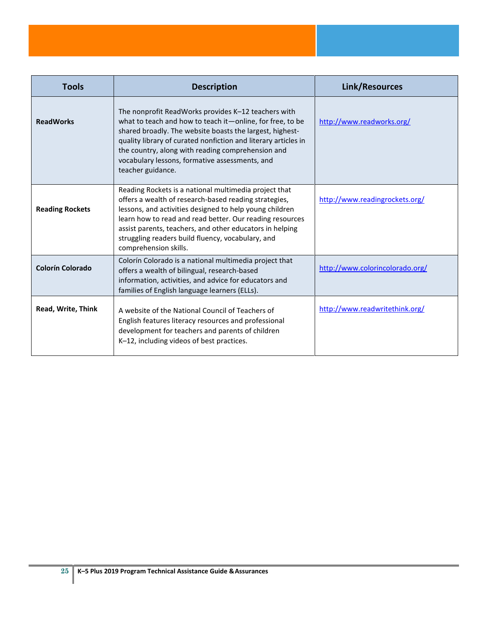| <b>Tools</b>           | <b>Description</b>                                                                                                                                                                                                                                                                                                                                                              | Link/Resources                  |
|------------------------|---------------------------------------------------------------------------------------------------------------------------------------------------------------------------------------------------------------------------------------------------------------------------------------------------------------------------------------------------------------------------------|---------------------------------|
| <b>ReadWorks</b>       | The nonprofit ReadWorks provides K-12 teachers with<br>what to teach and how to teach it-online, for free, to be<br>shared broadly. The website boasts the largest, highest-<br>quality library of curated nonfiction and literary articles in<br>the country, along with reading comprehension and<br>vocabulary lessons, formative assessments, and<br>teacher guidance.      | http://www.readworks.org/       |
| <b>Reading Rockets</b> | Reading Rockets is a national multimedia project that<br>offers a wealth of research-based reading strategies,<br>lessons, and activities designed to help young children<br>learn how to read and read better. Our reading resources<br>assist parents, teachers, and other educators in helping<br>struggling readers build fluency, vocabulary, and<br>comprehension skills. | http://www.readingrockets.org/  |
| Colorín Colorado       | Colorín Colorado is a national multimedia project that<br>offers a wealth of bilingual, research-based<br>information, activities, and advice for educators and<br>families of English language learners (ELLs).                                                                                                                                                                | http://www.colorincolorado.org/ |
| Read, Write, Think     | A website of the National Council of Teachers of<br>English features literacy resources and professional<br>development for teachers and parents of children<br>K-12, including videos of best practices.                                                                                                                                                                       | http://www.readwritethink.org/  |